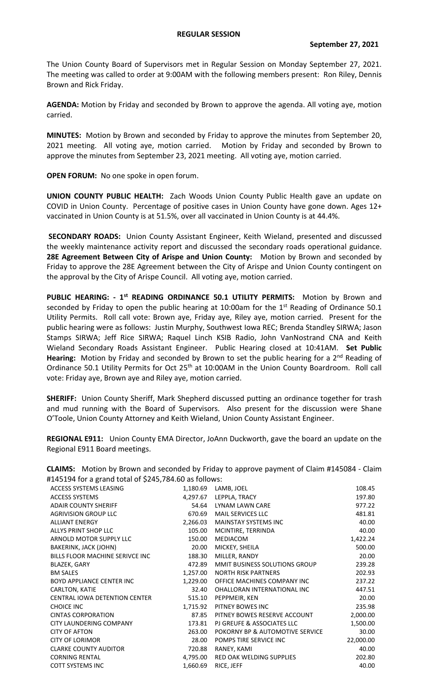The Union County Board of Supervisors met in Regular Session on Monday September 27, 2021. The meeting was called to order at 9:00AM with the following members present: Ron Riley, Dennis Brown and Rick Friday.

**AGENDA:** Motion by Friday and seconded by Brown to approve the agenda. All voting aye, motion carried.

**MINUTES:** Motion by Brown and seconded by Friday to approve the minutes from September 20, 2021 meeting. All voting aye, motion carried. Motion by Friday and seconded by Brown to approve the minutes from September 23, 2021 meeting. All voting aye, motion carried.

**OPEN FORUM:** No one spoke in open forum.

**UNION COUNTY PUBLIC HEALTH:** Zach Woods Union County Public Health gave an update on COVID in Union County. Percentage of positive cases in Union County have gone down. Ages 12+ vaccinated in Union County is at 51.5%, over all vaccinated in Union County is at 44.4%.

**SECONDARY ROADS:** Union County Assistant Engineer, Keith Wieland, presented and discussed the weekly maintenance activity report and discussed the secondary roads operational guidance. **28E Agreement Between City of Arispe and Union County:** Motion by Brown and seconded by Friday to approve the 28E Agreement between the City of Arispe and Union County contingent on the approval by the City of Arispe Council. All voting aye, motion carried.

PUBLIC HEARING: - 1<sup>st</sup> READING ORDINANCE 50.1 UTILITY PERMITS: Motion by Brown and seconded by Friday to open the public hearing at 10:00am for the  $1<sup>st</sup>$  Reading of Ordinance 50.1 Utility Permits. Roll call vote: Brown aye, Friday aye, Riley aye, motion carried. Present for the public hearing were as follows: Justin Murphy, Southwest Iowa REC; Brenda Standley SIRWA; Jason Stamps SIRWA; Jeff Rice SIRWA; Raquel Linch KSIB Radio, John VanNostrand CNA and Keith Wieland Secondary Roads Assistant Engineer. Public Hearing closed at 10:41AM. **Set Public Hearing:** Motion by Friday and seconded by Brown to set the public hearing for a 2<sup>nd</sup> Reading of Ordinance 50.1 Utility Permits for Oct 25<sup>th</sup> at 10:00AM in the Union County Boardroom. Roll call vote: Friday aye, Brown aye and Riley aye, motion carried.

**SHERIFF:** Union County Sheriff, Mark Shepherd discussed putting an ordinance together for trash and mud running with the Board of Supervisors. Also present for the discussion were Shane O'Toole, Union County Attorney and Keith Wieland, Union County Assistant Engineer.

**REGIONAL E911:** Union County EMA Director, JoAnn Duckworth, gave the board an update on the Regional E911 Board meetings.

**CLAIMS:** Motion by Brown and seconded by Friday to approve payment of Claim #145084 - Claim #145194 for a grand total of \$245,784.60 as follows:

| ACCESS SYSTEMS LEASING               | 1,180.69 | LAMB, JOEL                      | 108.45    |
|--------------------------------------|----------|---------------------------------|-----------|
| <b>ACCESS SYSTEMS</b>                | 4,297.67 | LEPPLA, TRACY                   | 197.80    |
| <b>ADAIR COUNTY SHERIFF</b>          | 54.64    | LYNAM LAWN CARE                 | 977.22    |
| <b>AGRIVISION GROUP LLC</b>          | 670.69   | MAIL SERVICES LLC               | 481.81    |
| <b>ALLIANT ENERGY</b>                | 2,266.03 | <b>MAINSTAY SYSTEMS INC</b>     | 40.00     |
| ALLYS PRINT SHOP LLC                 | 105.00   | MCINTIRE, TERRINDA              | 40.00     |
| ARNOLD MOTOR SUPPLY LLC              | 150.00   | MEDIACOM                        | 1,422.24  |
| BAKERINK, JACK (JOHN)                | 20.00    | MICKEY, SHEILA                  | 500.00    |
| BILLS FLOOR MACHINE SERIVCE INC      | 188.30   | MILLER, RANDY                   | 20.00     |
| BLAZEK, GARY                         | 472.89   | MMIT BUSINESS SOLUTIONS GROUP   | 239.28    |
| <b>BM SALES</b>                      | 1,257.00 | <b>NORTH RISK PARTNERS</b>      | 202.93    |
| <b>BOYD APPLIANCE CENTER INC</b>     | 1,229.00 | OFFICE MACHINES COMPANY INC     | 237.22    |
| CARLTON, KATIE                       | 32.40    | OHALLORAN INTERNATIONAL INC     | 447.51    |
| <b>CENTRAL IOWA DETENTION CENTER</b> | 515.10   | PEPPMEIR, KEN                   | 20.00     |
| <b>CHOICE INC</b>                    | 1,715.92 | PITNEY BOWES INC                | 235.98    |
| <b>CINTAS CORPORATION</b>            | 87.85    | PITNEY BOWES RESERVE ACCOUNT    | 2,000.00  |
| CITY LAUNDERING COMPANY              | 173.81   | PJ GREUFE & ASSOCIATES LLC      | 1,500.00  |
| <b>CITY OF AFTON</b>                 | 263.00   | POKORNY BP & AUTOMOTIVE SERVICE | 30.00     |
| <b>CITY OF LORIMOR</b>               | 28.00    | POMPS TIRE SERVICE INC          | 22,000.00 |
| <b>CLARKE COUNTY AUDITOR</b>         | 720.88   | RANEY, KAMI                     | 40.00     |
| <b>CORNING RENTAL</b>                | 4,795.00 | RED OAK WELDING SUPPLIES        | 202.80    |
| <b>COTT SYSTEMS INC</b>              | 1,660.69 | RICE, JEFF                      | 40.00     |